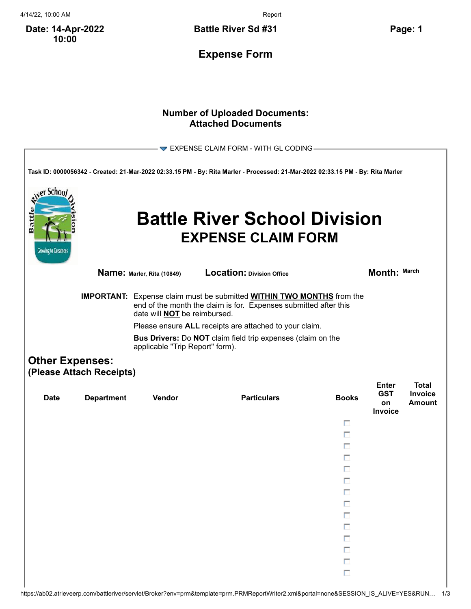4/14/22, 10:00 AM Report

**Date: 14-Apr-2022 10:00**

**Battle River Sd #31 Page: 1**

**Expense Form**

## **Number of Uploaded Documents: Attached Documents**

|                                                          |                                                    |                                     | EXPENSE CLAIM FORM - WITH GL CODING-                                                                                                                    |              |                                             |                                          |
|----------------------------------------------------------|----------------------------------------------------|-------------------------------------|---------------------------------------------------------------------------------------------------------------------------------------------------------|--------------|---------------------------------------------|------------------------------------------|
|                                                          |                                                    |                                     | Task ID: 0000056342 - Created: 21-Mar-2022 02:33.15 PM - By: Rita Marler - Processed: 21-Mar-2022 02:33.15 PM - By: Rita Marler                         |              |                                             |                                          |
| er Schoo <i>l</i><br>Batt<br><b>Growing to Greatness</b> |                                                    |                                     | <b>Battle River School Division</b><br><b>EXPENSE CLAIM FORM</b>                                                                                        |              |                                             |                                          |
|                                                          |                                                    | Name: Marler, Rita (10849)          | Location: Division Office                                                                                                                               |              | Month: March                                |                                          |
|                                                          |                                                    | date will <b>NOT</b> be reimbursed. | <b>IMPORTANT:</b> Expense claim must be submitted <b>WITHIN TWO MONTHS</b> from the<br>end of the month the claim is for. Expenses submitted after this |              |                                             |                                          |
|                                                          |                                                    |                                     | Please ensure ALL receipts are attached to your claim.                                                                                                  |              |                                             |                                          |
|                                                          |                                                    | applicable "Trip Report" form).     | Bus Drivers: Do NOT claim field trip expenses (claim on the                                                                                             |              |                                             |                                          |
|                                                          | <b>Other Expenses:</b><br>(Please Attach Receipts) |                                     |                                                                                                                                                         |              |                                             |                                          |
| <b>Date</b>                                              | <b>Department</b>                                  | <b>Vendor</b>                       | <b>Particulars</b>                                                                                                                                      | <b>Books</b> | <b>Enter</b><br><b>GST</b><br>on<br>Invoice | <b>Total</b><br><b>Invoice</b><br>Amount |
|                                                          |                                                    |                                     |                                                                                                                                                         | п            |                                             |                                          |
|                                                          |                                                    |                                     |                                                                                                                                                         | п            |                                             |                                          |
|                                                          |                                                    |                                     |                                                                                                                                                         | п            |                                             |                                          |
|                                                          |                                                    |                                     |                                                                                                                                                         | п            |                                             |                                          |
|                                                          |                                                    |                                     |                                                                                                                                                         |              |                                             |                                          |
|                                                          |                                                    |                                     |                                                                                                                                                         |              |                                             |                                          |
|                                                          |                                                    |                                     |                                                                                                                                                         | г<br>Π       |                                             |                                          |
|                                                          |                                                    |                                     |                                                                                                                                                         | Π            |                                             |                                          |
|                                                          |                                                    |                                     |                                                                                                                                                         | Π            |                                             |                                          |
|                                                          |                                                    |                                     |                                                                                                                                                         | П            |                                             |                                          |
|                                                          |                                                    |                                     |                                                                                                                                                         | П            |                                             |                                          |
|                                                          |                                                    |                                     |                                                                                                                                                         | П            |                                             |                                          |
|                                                          |                                                    |                                     |                                                                                                                                                         | $\Box$       |                                             |                                          |
|                                                          |                                                    |                                     |                                                                                                                                                         |              |                                             |                                          |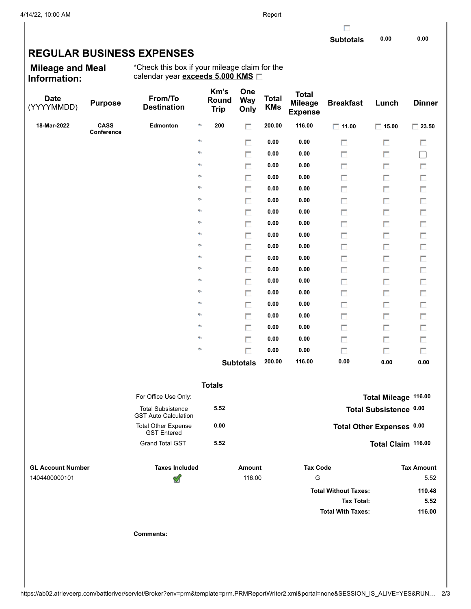г

## **REGULAR BUSINESS EXPENSES**

**Mileage and Meal Information:**

\*Check this box if your mileage claim for the calendar year **exceeds 5,000 KMS**

| <b>Date</b><br>(YYYYMMDD) | <b>Purpose</b>            | From/To<br><b>Destination</b>                           |               | Km's<br>Round<br><b>Trip</b> | One<br><b>Way</b><br>Only | <b>Total</b><br><b>KMs</b> | <b>Total</b><br><b>Mileage</b><br><b>Expense</b> | <b>Breakfast</b>            | Lunch                     | <b>Dinner</b>               |
|---------------------------|---------------------------|---------------------------------------------------------|---------------|------------------------------|---------------------------|----------------------------|--------------------------------------------------|-----------------------------|---------------------------|-----------------------------|
| 18-Mar-2022               | <b>CASS</b><br>Conference | Edmonton                                                | G.            | 200                          | П                         | 200.00                     | 116.00                                           | $\Box$ 11.00                | $\Box$ 15.00              | $\boxed{\phantom{0}}$ 23.50 |
|                           |                           |                                                         | ø             |                              | П                         | 0.00                       | 0.00                                             | П                           | П                         | П                           |
|                           |                           |                                                         | ø             |                              | П                         | 0.00                       | 0.00                                             | П                           | П                         | $\Box$                      |
|                           |                           |                                                         | ø             |                              | п                         | 0.00                       | 0.00                                             | П                           | П                         | П                           |
|                           |                           |                                                         | ø             |                              | П                         | 0.00                       | 0.00                                             | П                           | п                         | $\Box$                      |
|                           |                           |                                                         | ø             |                              | П                         | 0.00                       | 0.00                                             | П                           | П                         | П                           |
|                           |                           |                                                         | ø             |                              | П                         | 0.00                       | 0.00                                             | П                           | П                         | П                           |
|                           |                           |                                                         | ø             |                              | П                         | 0.00                       | 0.00                                             | П                           | П                         | П                           |
|                           |                           |                                                         | ø             |                              | П                         | 0.00                       | 0.00                                             | П                           | п                         | $\Box$                      |
|                           |                           |                                                         | ø             |                              | П                         | 0.00                       | 0.00                                             | П                           | П                         | П                           |
|                           |                           |                                                         | ø             |                              | П                         | 0.00                       | 0.00                                             | П                           | П                         | П                           |
|                           |                           |                                                         | ø             |                              | П                         | 0.00                       | 0.00                                             | П                           | П                         | П                           |
|                           |                           |                                                         | ø             |                              | $\Box$                    | 0.00                       | 0.00                                             | П                           | п                         | $\Box$                      |
|                           |                           |                                                         | ø             |                              | П                         | 0.00                       | 0.00                                             | П                           | П                         | П                           |
|                           |                           |                                                         | ø             |                              | П                         | 0.00                       | 0.00                                             | П                           | П                         | П                           |
|                           |                           |                                                         | ø             |                              | п                         | 0.00                       | 0.00                                             | П                           | П                         | $\Box$                      |
|                           |                           |                                                         | ø             |                              | $\Box$                    | 0.00                       | 0.00                                             | П                           | п                         | $\Box$                      |
|                           |                           |                                                         | ø             |                              | П                         | 0.00                       | 0.00                                             | П                           | П                         | П                           |
|                           |                           |                                                         | ø             |                              | $\Box$                    | 0.00                       | 0.00                                             | П                           | п                         | П                           |
|                           |                           |                                                         | ø             |                              | п                         | 0.00                       | 0.00                                             | П                           | п                         | П                           |
|                           |                           |                                                         |               | <b>Subtotals</b>             |                           | 200.00                     | 116.00                                           | 0.00                        | 0.00                      | 0.00                        |
|                           |                           |                                                         | <b>Totals</b> |                              |                           |                            |                                                  |                             |                           |                             |
|                           |                           | For Office Use Only:                                    |               |                              |                           |                            |                                                  |                             | Total Mileage 116.00      |                             |
|                           |                           | <b>Total Subsistence</b><br><b>GST Auto Calculation</b> |               | 5.52                         |                           |                            |                                                  |                             | Total Subsistence 0.00    |                             |
|                           |                           | <b>Total Other Expense</b><br><b>GST Entered</b>        |               | 0.00                         |                           |                            |                                                  |                             | Total Other Expenses 0.00 |                             |
|                           |                           | <b>Grand Total GST</b>                                  |               | 5.52                         |                           |                            |                                                  |                             | Total Claim 116.00        |                             |
| <b>GL Account Number</b>  |                           | <b>Taxes Included</b>                                   |               |                              | <b>Amount</b>             |                            | <b>Tax Code</b>                                  |                             |                           | <b>Tax Amount</b>           |
| 1404400000101             |                           | ख़                                                      |               |                              | 116.00                    |                            | G                                                |                             |                           | 5.52                        |
|                           |                           |                                                         |               |                              |                           |                            |                                                  | <b>Total Without Taxes:</b> |                           | 110.48                      |
|                           |                           |                                                         |               |                              |                           |                            |                                                  | <b>Tax Total:</b>           |                           | 5.52                        |
|                           |                           |                                                         |               |                              |                           |                            |                                                  | <b>Total With Taxes:</b>    |                           | 116.00                      |
|                           |                           | <b>Comments:</b>                                        |               |                              |                           |                            |                                                  |                             |                           |                             |